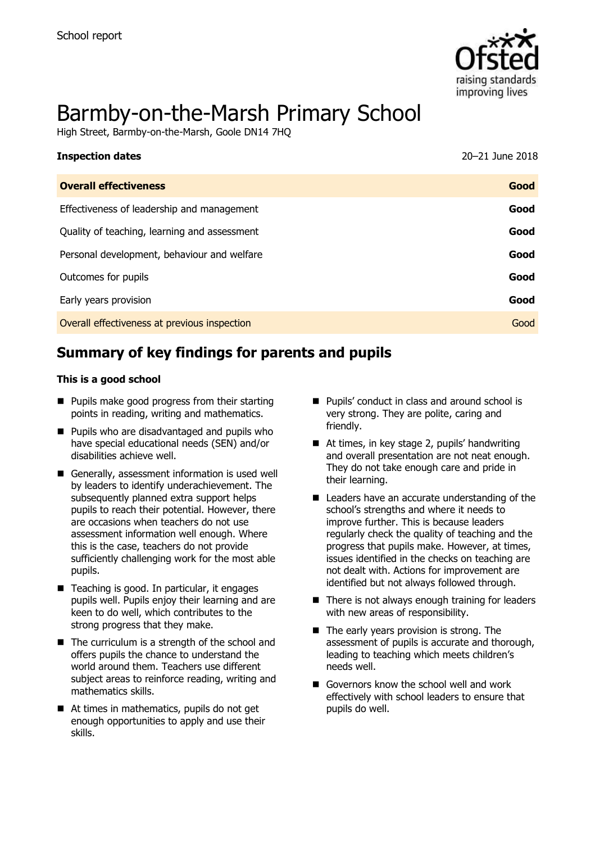

# Barmby-on-the-Marsh Primary School

High Street, Barmby-on-the-Marsh, Goole DN14 7HQ

| <b>Inspection dates</b>                      | 20-21 June 2018 |
|----------------------------------------------|-----------------|
| <b>Overall effectiveness</b>                 | Good            |
| Effectiveness of leadership and management   | Good            |
| Quality of teaching, learning and assessment | Good            |
| Personal development, behaviour and welfare  | Good            |
| Outcomes for pupils                          | Good            |
| Early years provision                        | Good            |
| Overall effectiveness at previous inspection | Good            |

# **Summary of key findings for parents and pupils**

#### **This is a good school**

- **Pupils make good progress from their starting** points in reading, writing and mathematics.
- **Pupils who are disadvantaged and pupils who** have special educational needs (SEN) and/or disabilities achieve well.
- Generally, assessment information is used well by leaders to identify underachievement. The subsequently planned extra support helps pupils to reach their potential. However, there are occasions when teachers do not use assessment information well enough. Where this is the case, teachers do not provide sufficiently challenging work for the most able pupils.
- $\blacksquare$  Teaching is good. In particular, it engages pupils well. Pupils enjoy their learning and are keen to do well, which contributes to the strong progress that they make.
- $\blacksquare$  The curriculum is a strength of the school and offers pupils the chance to understand the world around them. Teachers use different subject areas to reinforce reading, writing and mathematics skills.
- At times in mathematics, pupils do not get enough opportunities to apply and use their skills.
- Pupils' conduct in class and around school is very strong. They are polite, caring and friendly.
- At times, in key stage 2, pupils' handwriting and overall presentation are not neat enough. They do not take enough care and pride in their learning.
- Leaders have an accurate understanding of the school's strengths and where it needs to improve further. This is because leaders regularly check the quality of teaching and the progress that pupils make. However, at times, issues identified in the checks on teaching are not dealt with. Actions for improvement are identified but not always followed through.
- $\blacksquare$  There is not always enough training for leaders with new areas of responsibility.
- $\blacksquare$  The early years provision is strong. The assessment of pupils is accurate and thorough, leading to teaching which meets children's needs well.
- Governors know the school well and work effectively with school leaders to ensure that pupils do well.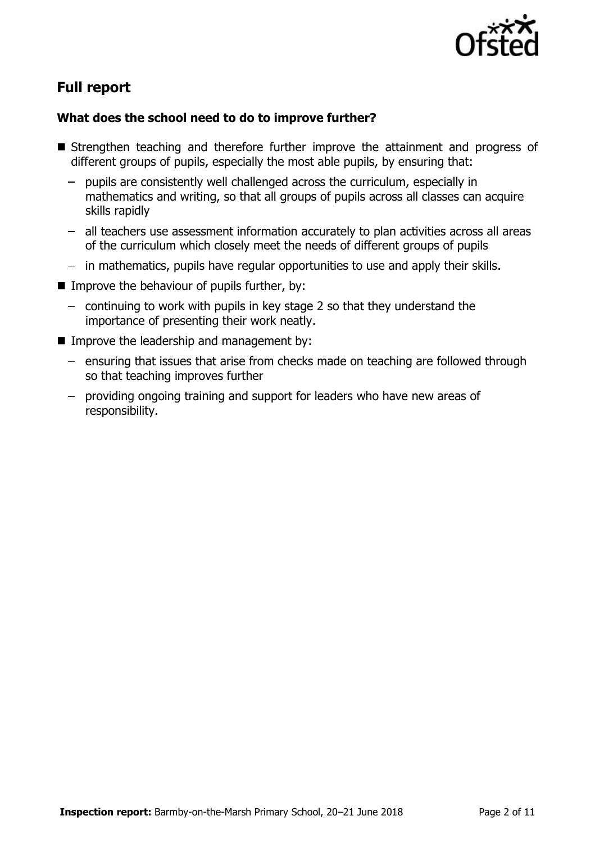

# **Full report**

### **What does the school need to do to improve further?**

- **Strengthen teaching and therefore further improve the attainment and progress of** different groups of pupils, especially the most able pupils, by ensuring that:
	- pupils are consistently well challenged across the curriculum, especially in mathematics and writing, so that all groups of pupils across all classes can acquire skills rapidly
	- all teachers use assessment information accurately to plan activities across all areas of the curriculum which closely meet the needs of different groups of pupils
	- in mathematics, pupils have regular opportunities to use and apply their skills.
- Improve the behaviour of pupils further, by:
	- $-$  continuing to work with pupils in key stage 2 so that they understand the importance of presenting their work neatly.
- $\blacksquare$  Improve the leadership and management by:
	- $-$  ensuring that issues that arise from checks made on teaching are followed through so that teaching improves further
	- providing ongoing training and support for leaders who have new areas of responsibility.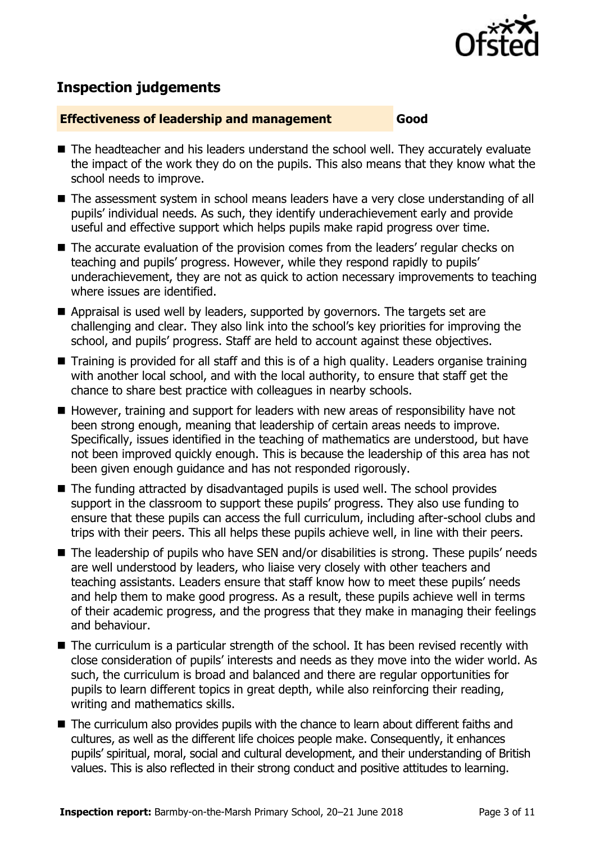

# **Inspection judgements**

#### **Effectiveness of leadership and management Good**

- The headteacher and his leaders understand the school well. They accurately evaluate the impact of the work they do on the pupils. This also means that they know what the school needs to improve.
- The assessment system in school means leaders have a very close understanding of all pupils' individual needs. As such, they identify underachievement early and provide useful and effective support which helps pupils make rapid progress over time.
- The accurate evaluation of the provision comes from the leaders' regular checks on teaching and pupils' progress. However, while they respond rapidly to pupils' underachievement, they are not as quick to action necessary improvements to teaching where issues are identified.
- Appraisal is used well by leaders, supported by governors. The targets set are challenging and clear. They also link into the school's key priorities for improving the school, and pupils' progress. Staff are held to account against these objectives.
- Training is provided for all staff and this is of a high quality. Leaders organise training with another local school, and with the local authority, to ensure that staff get the chance to share best practice with colleagues in nearby schools.
- $\blacksquare$  However, training and support for leaders with new areas of responsibility have not been strong enough, meaning that leadership of certain areas needs to improve. Specifically, issues identified in the teaching of mathematics are understood, but have not been improved quickly enough. This is because the leadership of this area has not been given enough guidance and has not responded rigorously.
- The funding attracted by disadvantaged pupils is used well. The school provides support in the classroom to support these pupils' progress. They also use funding to ensure that these pupils can access the full curriculum, including after-school clubs and trips with their peers. This all helps these pupils achieve well, in line with their peers.
- The leadership of pupils who have SEN and/or disabilities is strong. These pupils' needs are well understood by leaders, who liaise very closely with other teachers and teaching assistants. Leaders ensure that staff know how to meet these pupils' needs and help them to make good progress. As a result, these pupils achieve well in terms of their academic progress, and the progress that they make in managing their feelings and behaviour.
- The curriculum is a particular strength of the school. It has been revised recently with close consideration of pupils' interests and needs as they move into the wider world. As such, the curriculum is broad and balanced and there are regular opportunities for pupils to learn different topics in great depth, while also reinforcing their reading, writing and mathematics skills.
- The curriculum also provides pupils with the chance to learn about different faiths and cultures, as well as the different life choices people make. Consequently, it enhances pupils' spiritual, moral, social and cultural development, and their understanding of British values. This is also reflected in their strong conduct and positive attitudes to learning.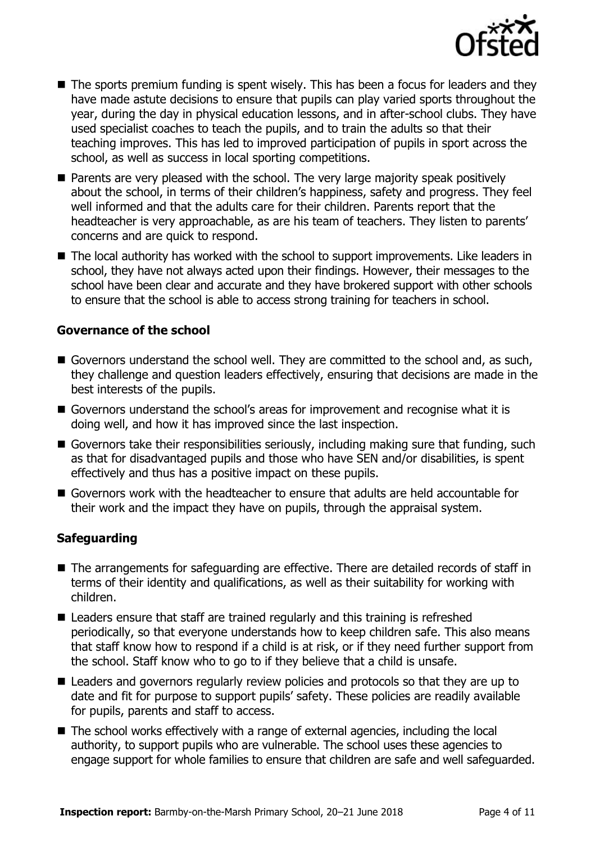

- The sports premium funding is spent wisely. This has been a focus for leaders and they have made astute decisions to ensure that pupils can play varied sports throughout the year, during the day in physical education lessons, and in after-school clubs. They have used specialist coaches to teach the pupils, and to train the adults so that their teaching improves. This has led to improved participation of pupils in sport across the school, as well as success in local sporting competitions.
- **Parents are very pleased with the school. The very large majority speak positively** about the school, in terms of their children's happiness, safety and progress. They feel well informed and that the adults care for their children. Parents report that the headteacher is very approachable, as are his team of teachers. They listen to parents' concerns and are quick to respond.
- The local authority has worked with the school to support improvements. Like leaders in school, they have not always acted upon their findings. However, their messages to the school have been clear and accurate and they have brokered support with other schools to ensure that the school is able to access strong training for teachers in school.

#### **Governance of the school**

- Governors understand the school well. They are committed to the school and, as such, they challenge and question leaders effectively, ensuring that decisions are made in the best interests of the pupils.
- Governors understand the school's areas for improvement and recognise what it is doing well, and how it has improved since the last inspection.
- Governors take their responsibilities seriously, including making sure that funding, such as that for disadvantaged pupils and those who have SEN and/or disabilities, is spent effectively and thus has a positive impact on these pupils.
- Governors work with the headteacher to ensure that adults are held accountable for their work and the impact they have on pupils, through the appraisal system.

#### **Safeguarding**

- The arrangements for safeguarding are effective. There are detailed records of staff in terms of their identity and qualifications, as well as their suitability for working with children.
- Leaders ensure that staff are trained regularly and this training is refreshed periodically, so that everyone understands how to keep children safe. This also means that staff know how to respond if a child is at risk, or if they need further support from the school. Staff know who to go to if they believe that a child is unsafe.
- Leaders and governors regularly review policies and protocols so that they are up to date and fit for purpose to support pupils' safety. These policies are readily available for pupils, parents and staff to access.
- The school works effectively with a range of external agencies, including the local authority, to support pupils who are vulnerable. The school uses these agencies to engage support for whole families to ensure that children are safe and well safeguarded.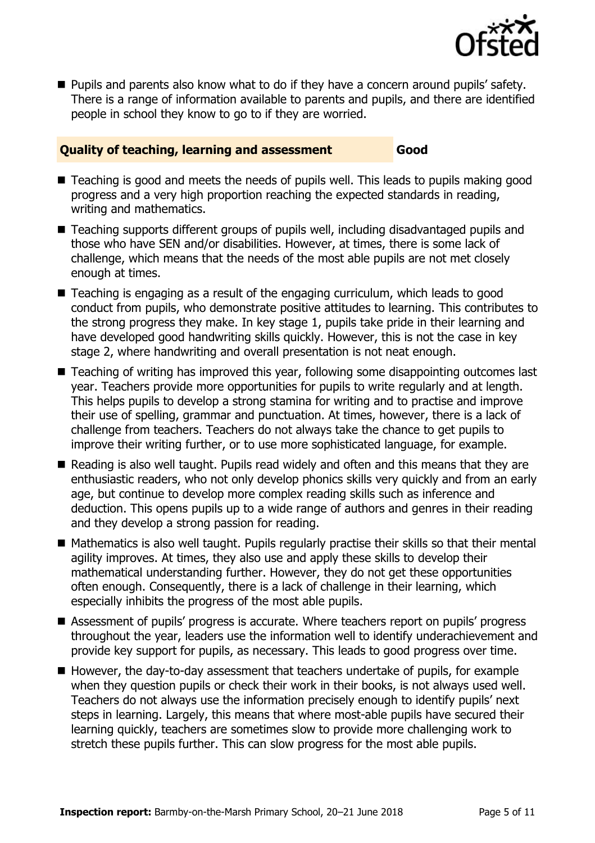

**Pupils and parents also know what to do if they have a concern around pupils' safety.** There is a range of information available to parents and pupils, and there are identified people in school they know to go to if they are worried.

#### **Quality of teaching, learning and assessment Good**

- Teaching is good and meets the needs of pupils well. This leads to pupils making good progress and a very high proportion reaching the expected standards in reading, writing and mathematics.
- Teaching supports different groups of pupils well, including disadvantaged pupils and those who have SEN and/or disabilities. However, at times, there is some lack of challenge, which means that the needs of the most able pupils are not met closely enough at times.
- Teaching is engaging as a result of the engaging curriculum, which leads to good conduct from pupils, who demonstrate positive attitudes to learning. This contributes to the strong progress they make. In key stage 1, pupils take pride in their learning and have developed good handwriting skills quickly. However, this is not the case in key stage 2, where handwriting and overall presentation is not neat enough.
- Teaching of writing has improved this year, following some disappointing outcomes last year. Teachers provide more opportunities for pupils to write regularly and at length. This helps pupils to develop a strong stamina for writing and to practise and improve their use of spelling, grammar and punctuation. At times, however, there is a lack of challenge from teachers. Teachers do not always take the chance to get pupils to improve their writing further, or to use more sophisticated language, for example.
- Reading is also well taught. Pupils read widely and often and this means that they are enthusiastic readers, who not only develop phonics skills very quickly and from an early age, but continue to develop more complex reading skills such as inference and deduction. This opens pupils up to a wide range of authors and genres in their reading and they develop a strong passion for reading.
- $\blacksquare$  Mathematics is also well taught. Pupils regularly practise their skills so that their mental agility improves. At times, they also use and apply these skills to develop their mathematical understanding further. However, they do not get these opportunities often enough. Consequently, there is a lack of challenge in their learning, which especially inhibits the progress of the most able pupils.
- Assessment of pupils' progress is accurate. Where teachers report on pupils' progress throughout the year, leaders use the information well to identify underachievement and provide key support for pupils, as necessary. This leads to good progress over time.
- $\blacksquare$  However, the day-to-day assessment that teachers undertake of pupils, for example when they question pupils or check their work in their books, is not always used well. Teachers do not always use the information precisely enough to identify pupils' next steps in learning. Largely, this means that where most-able pupils have secured their learning quickly, teachers are sometimes slow to provide more challenging work to stretch these pupils further. This can slow progress for the most able pupils.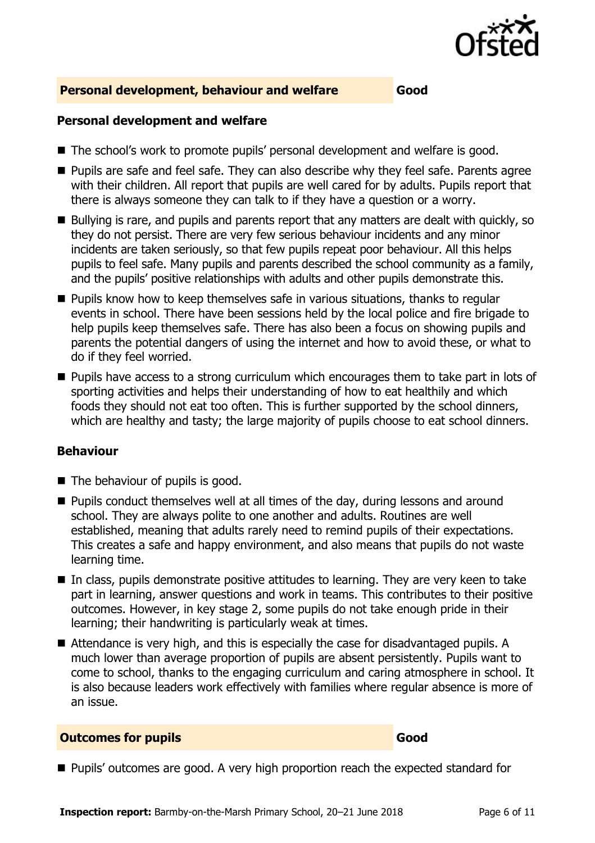

#### **Personal development, behaviour and welfare Good**

#### **Personal development and welfare**

- The school's work to promote pupils' personal development and welfare is good.
- **Pupils are safe and feel safe. They can also describe why they feel safe. Parents agree** with their children. All report that pupils are well cared for by adults. Pupils report that there is always someone they can talk to if they have a question or a worry.
- Bullying is rare, and pupils and parents report that any matters are dealt with quickly, so they do not persist. There are very few serious behaviour incidents and any minor incidents are taken seriously, so that few pupils repeat poor behaviour. All this helps pupils to feel safe. Many pupils and parents described the school community as a family, and the pupils' positive relationships with adults and other pupils demonstrate this.
- $\blacksquare$  Pupils know how to keep themselves safe in various situations, thanks to regular events in school. There have been sessions held by the local police and fire brigade to help pupils keep themselves safe. There has also been a focus on showing pupils and parents the potential dangers of using the internet and how to avoid these, or what to do if they feel worried.
- **Pupils have access to a strong curriculum which encourages them to take part in lots of** sporting activities and helps their understanding of how to eat healthily and which foods they should not eat too often. This is further supported by the school dinners, which are healthy and tasty; the large majority of pupils choose to eat school dinners.

#### **Behaviour**

- The behaviour of pupils is good.
- **Pupils conduct themselves well at all times of the day, during lessons and around** school. They are always polite to one another and adults. Routines are well established, meaning that adults rarely need to remind pupils of their expectations. This creates a safe and happy environment, and also means that pupils do not waste learning time.
- In class, pupils demonstrate positive attitudes to learning. They are very keen to take part in learning, answer questions and work in teams. This contributes to their positive outcomes. However, in key stage 2, some pupils do not take enough pride in their learning; their handwriting is particularly weak at times.
- Attendance is very high, and this is especially the case for disadvantaged pupils. A much lower than average proportion of pupils are absent persistently. Pupils want to come to school, thanks to the engaging curriculum and caring atmosphere in school. It is also because leaders work effectively with families where regular absence is more of an issue.

#### **Outcomes for pupils Good**

**Pupils'** outcomes are good. A very high proportion reach the expected standard for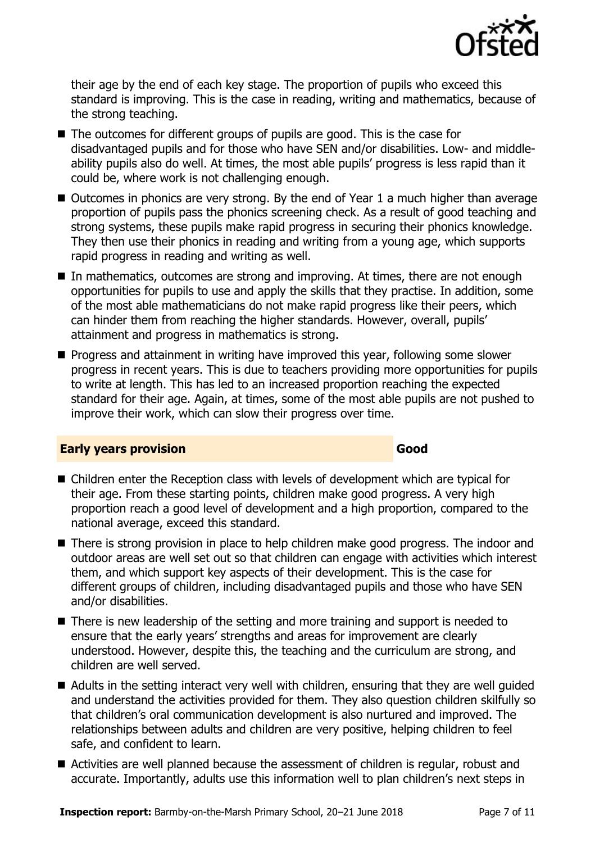

their age by the end of each key stage. The proportion of pupils who exceed this standard is improving. This is the case in reading, writing and mathematics, because of the strong teaching.

- The outcomes for different groups of pupils are good. This is the case for disadvantaged pupils and for those who have SEN and/or disabilities. Low- and middleability pupils also do well. At times, the most able pupils' progress is less rapid than it could be, where work is not challenging enough.
- Outcomes in phonics are very strong. By the end of Year 1 a much higher than average proportion of pupils pass the phonics screening check. As a result of good teaching and strong systems, these pupils make rapid progress in securing their phonics knowledge. They then use their phonics in reading and writing from a young age, which supports rapid progress in reading and writing as well.
- In mathematics, outcomes are strong and improving. At times, there are not enough opportunities for pupils to use and apply the skills that they practise. In addition, some of the most able mathematicians do not make rapid progress like their peers, which can hinder them from reaching the higher standards. However, overall, pupils' attainment and progress in mathematics is strong.
- **Progress and attainment in writing have improved this year, following some slower** progress in recent years. This is due to teachers providing more opportunities for pupils to write at length. This has led to an increased proportion reaching the expected standard for their age. Again, at times, some of the most able pupils are not pushed to improve their work, which can slow their progress over time.

#### **Early years provision Good Good**

- Children enter the Reception class with levels of development which are typical for their age. From these starting points, children make good progress. A very high proportion reach a good level of development and a high proportion, compared to the national average, exceed this standard.
- There is strong provision in place to help children make good progress. The indoor and outdoor areas are well set out so that children can engage with activities which interest them, and which support key aspects of their development. This is the case for different groups of children, including disadvantaged pupils and those who have SEN and/or disabilities.
- There is new leadership of the setting and more training and support is needed to ensure that the early years' strengths and areas for improvement are clearly understood. However, despite this, the teaching and the curriculum are strong, and children are well served.
- Adults in the setting interact very well with children, ensuring that they are well guided and understand the activities provided for them. They also question children skilfully so that children's oral communication development is also nurtured and improved. The relationships between adults and children are very positive, helping children to feel safe, and confident to learn.
- Activities are well planned because the assessment of children is regular, robust and accurate. Importantly, adults use this information well to plan children's next steps in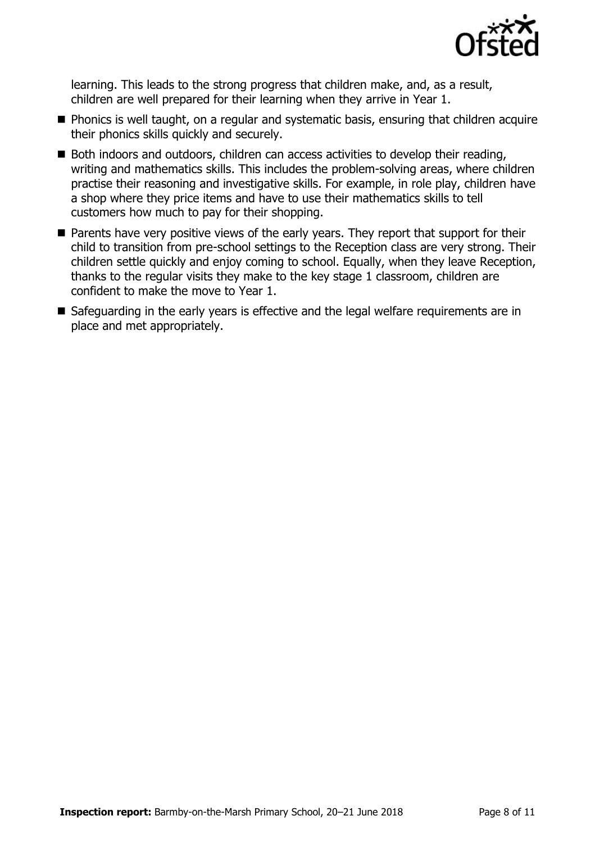

learning. This leads to the strong progress that children make, and, as a result, children are well prepared for their learning when they arrive in Year 1.

- **Phonics is well taught, on a regular and systematic basis, ensuring that children acquire** their phonics skills quickly and securely.
- Both indoors and outdoors, children can access activities to develop their reading, writing and mathematics skills. This includes the problem-solving areas, where children practise their reasoning and investigative skills. For example, in role play, children have a shop where they price items and have to use their mathematics skills to tell customers how much to pay for their shopping.
- **Parents have very positive views of the early years. They report that support for their** child to transition from pre-school settings to the Reception class are very strong. Their children settle quickly and enjoy coming to school. Equally, when they leave Reception, thanks to the regular visits they make to the key stage 1 classroom, children are confident to make the move to Year 1.
- Safeguarding in the early years is effective and the legal welfare requirements are in place and met appropriately.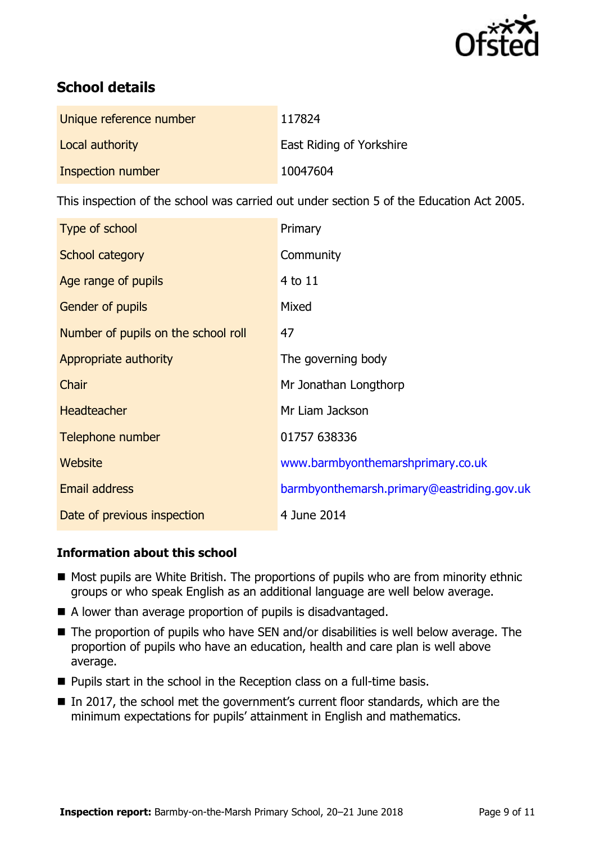

# **School details**

| Unique reference number | 117824                   |
|-------------------------|--------------------------|
| Local authority         | East Riding of Yorkshire |
| Inspection number       | 10047604                 |

This inspection of the school was carried out under section 5 of the Education Act 2005.

| Type of school                      | Primary                                    |
|-------------------------------------|--------------------------------------------|
| School category                     | Community                                  |
| Age range of pupils                 | 4 to 11                                    |
| <b>Gender of pupils</b>             | Mixed                                      |
| Number of pupils on the school roll | 47                                         |
| Appropriate authority               | The governing body                         |
| Chair                               | Mr Jonathan Longthorp                      |
| <b>Headteacher</b>                  | Mr Liam Jackson                            |
| Telephone number                    | 01757 638336                               |
| Website                             | www.barmbyonthemarshprimary.co.uk          |
| Email address                       | barmbyonthemarsh.primary@eastriding.gov.uk |
| Date of previous inspection         | 4 June 2014                                |

#### **Information about this school**

- Most pupils are White British. The proportions of pupils who are from minority ethnic groups or who speak English as an additional language are well below average.
- A lower than average proportion of pupils is disadvantaged.
- The proportion of pupils who have SEN and/or disabilities is well below average. The proportion of pupils who have an education, health and care plan is well above average.
- **Pupils start in the school in the Reception class on a full-time basis.**
- In 2017, the school met the government's current floor standards, which are the minimum expectations for pupils' attainment in English and mathematics.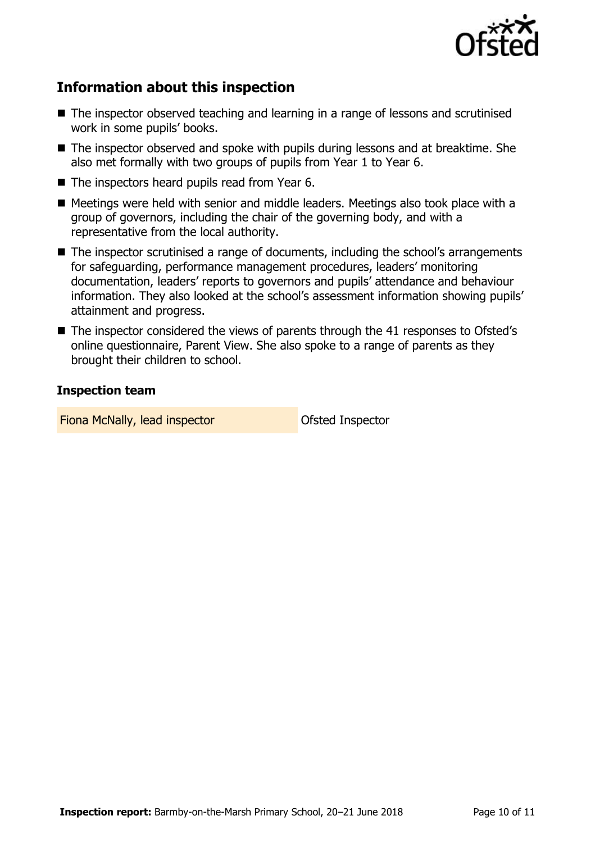

# **Information about this inspection**

- The inspector observed teaching and learning in a range of lessons and scrutinised work in some pupils' books.
- The inspector observed and spoke with pupils during lessons and at breaktime. She also met formally with two groups of pupils from Year 1 to Year 6.
- $\blacksquare$  The inspectors heard pupils read from Year 6.
- Meetings were held with senior and middle leaders. Meetings also took place with a group of governors, including the chair of the governing body, and with a representative from the local authority.
- The inspector scrutinised a range of documents, including the school's arrangements for safeguarding, performance management procedures, leaders' monitoring documentation, leaders' reports to governors and pupils' attendance and behaviour information. They also looked at the school's assessment information showing pupils' attainment and progress.
- The inspector considered the views of parents through the 41 responses to Ofsted's online questionnaire, Parent View. She also spoke to a range of parents as they brought their children to school.

#### **Inspection team**

Fiona McNally, lead inspector **Constanting Constanting Constanting Constanting Constanting Constanting Constanting Constanting Constanting Constanting Constanting Constanting Constanting Constanting Constanting Constanting**